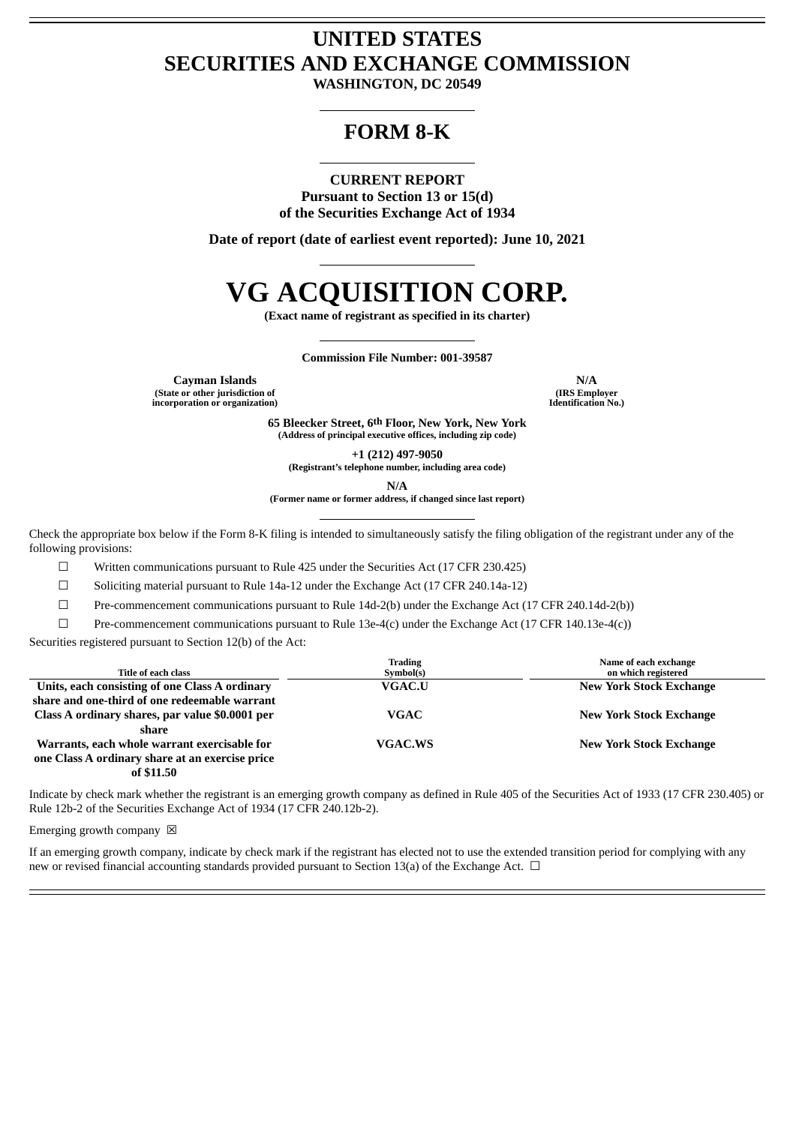## **UNITED STATES SECURITIES AND EXCHANGE COMMISSION**

**WASHINGTON, DC 20549**

### **FORM 8-K**

### **CURRENT REPORT**

**Pursuant to Section 13 or 15(d) of the Securities Exchange Act of 1934**

**Date of report (date of earliest event reported): June 10, 2021**

# **VG ACQUISITION CORP.**

**(Exact name of registrant as specified in its charter)**

**Commission File Number: 001-39587**

**Cayman Islands N/A (State or other jurisdiction of incorporation or organization)**

**(IRS Employer Identification No.)**

**65 Bleecker Street, 6th Floor, New York, New York (Address of principal executive offices, including zip code)**

**+1 (212) 497-9050**

**(Registrant's telephone number, including area code)**

**N/A**

**(Former name or former address, if changed since last report)**

Check the appropriate box below if the Form 8-K filing is intended to simultaneously satisfy the filing obligation of the registrant under any of the following provisions:

 $\Box$  Written communications pursuant to Rule 425 under the Securities Act (17 CFR 230.425)

☐ Soliciting material pursuant to Rule 14a-12 under the Exchange Act (17 CFR 240.14a-12)

☐ Pre-commencement communications pursuant to Rule 14d-2(b) under the Exchange Act (17 CFR 240.14d-2(b))

 $\Box$  Pre-commencement communications pursuant to Rule 13e-4(c) under the Exchange Act (17 CFR 140.13e-4(c))

Securities registered pursuant to Section 12(b) of the Act:

| Title of each class                             | <b>Trading</b><br>Symbol(s) | Name of each exchange<br>on which registered |
|-------------------------------------------------|-----------------------------|----------------------------------------------|
| Units, each consisting of one Class A ordinary  | <b>VGAC.U</b>               | <b>New York Stock Exchange</b>               |
| share and one-third of one redeemable warrant   |                             |                                              |
| Class A ordinary shares, par value \$0.0001 per | <b>VGAC</b>                 | <b>New York Stock Exchange</b>               |
| share                                           |                             |                                              |
| Warrants, each whole warrant exercisable for    | <b>VGAC.WS</b>              | <b>New York Stock Exchange</b>               |
| one Class A ordinary share at an exercise price |                             |                                              |
| .                                               |                             |                                              |

**of \$11.50**

Indicate by check mark whether the registrant is an emerging growth company as defined in Rule 405 of the Securities Act of 1933 (17 CFR 230.405) or Rule 12b-2 of the Securities Exchange Act of 1934 (17 CFR 240.12b-2).

Emerging growth company  $\boxtimes$ 

If an emerging growth company, indicate by check mark if the registrant has elected not to use the extended transition period for complying with any new or revised financial accounting standards provided pursuant to Section 13(a) of the Exchange Act.  $\Box$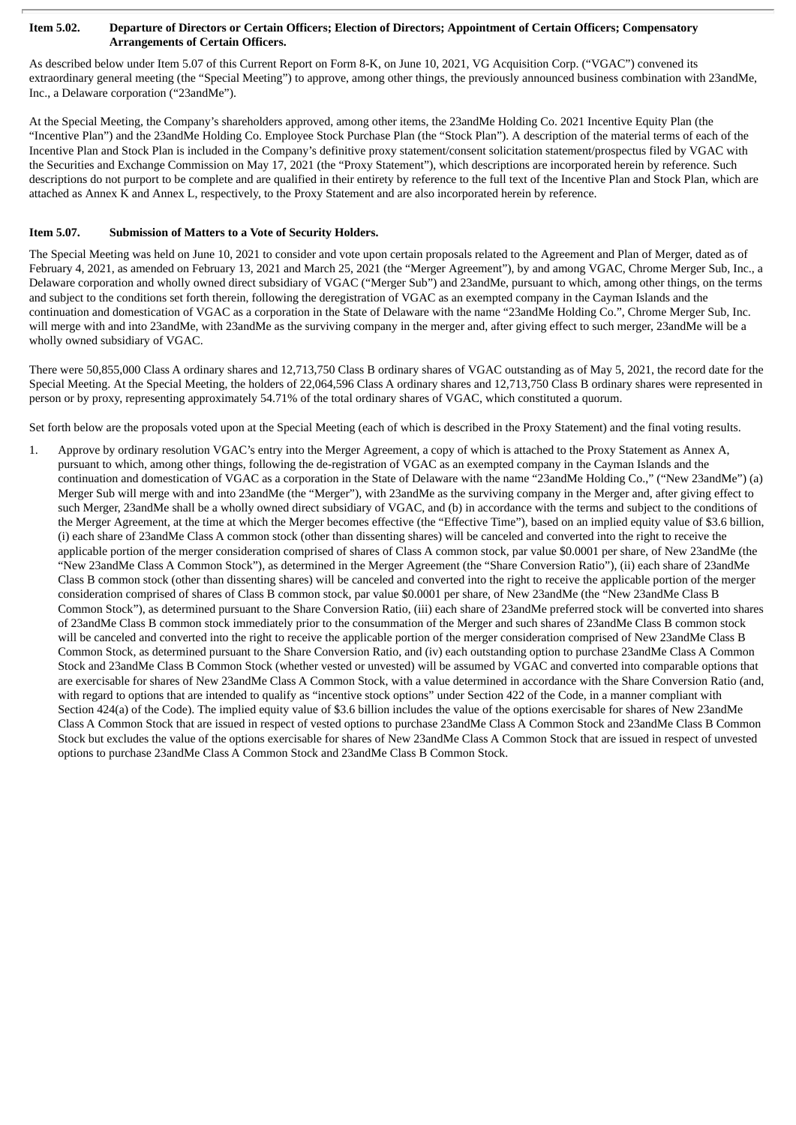### Item 5.02. Departure of Directors or Certain Officers; Election of Directors; Appointment of Certain Officers; Compensatory **Arrangements of Certain Officers.**

As described below under Item 5.07 of this Current Report on Form 8-K, on June 10, 2021, VG Acquisition Corp. ("VGAC") convened its extraordinary general meeting (the "Special Meeting") to approve, among other things, the previously announced business combination with 23andMe, Inc., a Delaware corporation ("23andMe").

At the Special Meeting, the Company's shareholders approved, among other items, the 23andMe Holding Co. 2021 Incentive Equity Plan (the "Incentive Plan") and the 23andMe Holding Co. Employee Stock Purchase Plan (the "Stock Plan"). A description of the material terms of each of the Incentive Plan and Stock Plan is included in the Company's definitive proxy statement/consent solicitation statement/prospectus filed by VGAC with the Securities and Exchange Commission on May 17, 2021 (the "Proxy Statement"), which descriptions are incorporated herein by reference. Such descriptions do not purport to be complete and are qualified in their entirety by reference to the full text of the Incentive Plan and Stock Plan, which are attached as Annex K and Annex L, respectively, to the Proxy Statement and are also incorporated herein by reference.

### **Item 5.07. Submission of Matters to a Vote of Security Holders.**

The Special Meeting was held on June 10, 2021 to consider and vote upon certain proposals related to the Agreement and Plan of Merger, dated as of February 4, 2021, as amended on February 13, 2021 and March 25, 2021 (the "Merger Agreement"), by and among VGAC, Chrome Merger Sub, Inc., a Delaware corporation and wholly owned direct subsidiary of VGAC ("Merger Sub") and 23andMe, pursuant to which, among other things, on the terms and subject to the conditions set forth therein, following the deregistration of VGAC as an exempted company in the Cayman Islands and the continuation and domestication of VGAC as a corporation in the State of Delaware with the name "23andMe Holding Co.", Chrome Merger Sub, Inc. will merge with and into 23andMe, with 23andMe as the surviving company in the merger and, after giving effect to such merger, 23andMe will be a wholly owned subsidiary of VGAC.

There were 50,855,000 Class A ordinary shares and 12,713,750 Class B ordinary shares of VGAC outstanding as of May 5, 2021, the record date for the Special Meeting. At the Special Meeting, the holders of 22,064,596 Class A ordinary shares and 12,713,750 Class B ordinary shares were represented in person or by proxy, representing approximately 54.71% of the total ordinary shares of VGAC, which constituted a quorum.

Set forth below are the proposals voted upon at the Special Meeting (each of which is described in the Proxy Statement) and the final voting results.

1. Approve by ordinary resolution VGAC's entry into the Merger Agreement, a copy of which is attached to the Proxy Statement as Annex A, pursuant to which, among other things, following the de-registration of VGAC as an exempted company in the Cayman Islands and the continuation and domestication of VGAC as a corporation in the State of Delaware with the name "23andMe Holding Co.," ("New 23andMe") (a) Merger Sub will merge with and into 23andMe (the "Merger"), with 23andMe as the surviving company in the Merger and, after giving effect to such Merger, 23andMe shall be a wholly owned direct subsidiary of VGAC, and (b) in accordance with the terms and subject to the conditions of the Merger Agreement, at the time at which the Merger becomes effective (the "Effective Time"), based on an implied equity value of \$3.6 billion, (i) each share of 23andMe Class A common stock (other than dissenting shares) will be canceled and converted into the right to receive the applicable portion of the merger consideration comprised of shares of Class A common stock, par value \$0.0001 per share, of New 23andMe (the "New 23andMe Class A Common Stock"), as determined in the Merger Agreement (the "Share Conversion Ratio"), (ii) each share of 23andMe Class B common stock (other than dissenting shares) will be canceled and converted into the right to receive the applicable portion of the merger consideration comprised of shares of Class B common stock, par value \$0.0001 per share, of New 23andMe (the "New 23andMe Class B Common Stock"), as determined pursuant to the Share Conversion Ratio, (iii) each share of 23andMe preferred stock will be converted into shares of 23andMe Class B common stock immediately prior to the consummation of the Merger and such shares of 23andMe Class B common stock will be canceled and converted into the right to receive the applicable portion of the merger consideration comprised of New 23andMe Class B Common Stock, as determined pursuant to the Share Conversion Ratio, and (iv) each outstanding option to purchase 23andMe Class A Common Stock and 23andMe Class B Common Stock (whether vested or unvested) will be assumed by VGAC and converted into comparable options that are exercisable for shares of New 23andMe Class A Common Stock, with a value determined in accordance with the Share Conversion Ratio (and, with regard to options that are intended to qualify as "incentive stock options" under Section 422 of the Code, in a manner compliant with Section 424(a) of the Code). The implied equity value of \$3.6 billion includes the value of the options exercisable for shares of New 23andMe Class A Common Stock that are issued in respect of vested options to purchase 23andMe Class A Common Stock and 23andMe Class B Common Stock but excludes the value of the options exercisable for shares of New 23andMe Class A Common Stock that are issued in respect of unvested options to purchase 23andMe Class A Common Stock and 23andMe Class B Common Stock.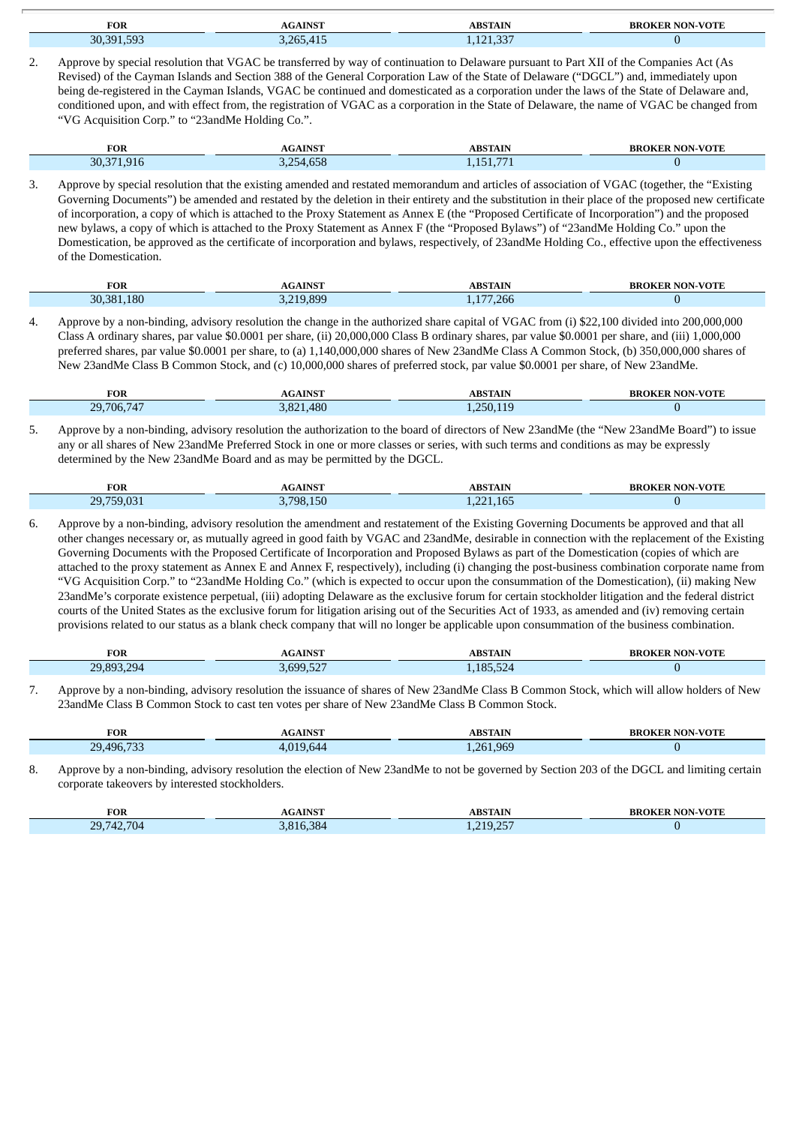| <b>FOR</b> | -AINST | ABSTAIN    | <b>NON-VOTE</b><br><b>BROKER</b> |
|------------|--------|------------|----------------------------------|
| FOP        | .415   | $\sqrt{2}$ |                                  |
| 30.391     | 3 フドロ  | 1,141,007  |                                  |

2. Approve by special resolution that VGAC be transferred by way of continuation to Delaware pursuant to Part XII of the Companies Act (As Revised) of the Cayman Islands and Section 388 of the General Corporation Law of the State of Delaware ("DGCL") and, immediately upon being de-registered in the Cayman Islands, VGAC be continued and domesticated as a corporation under the laws of the State of Delaware and, conditioned upon, and with effect from, the registration of VGAC as a corporation in the State of Delaware, the name of VGAC be changed from "VG Acquisition Corp." to "23andMe Holding Co.".

| <b>FOR</b> | <b>AGAINST</b>                         | ABSTAIN | ER NON-VOTE<br><b>BROK</b> |
|------------|----------------------------------------|---------|----------------------------|
| 30,371,916 | $\sqrt{2}$<br>$\cap$<br>54,658<br>しょムし | H       |                            |

3. Approve by special resolution that the existing amended and restated memorandum and articles of association of VGAC (together, the "Existing Governing Documents") be amended and restated by the deletion in their entirety and the substitution in their place of the proposed new certificate of incorporation, a copy of which is attached to the Proxy Statement as Annex E (the "Proposed Certificate of Incorporation") and the proposed new bylaws, a copy of which is attached to the Proxy Statement as Annex F (the "Proposed Bylaws") of "23andMe Holding Co." upon the Domestication, be approved as the certificate of incorporation and bylaws, respectively, of 23andMe Holding Co., effective upon the effectiveness of the Domestication.

| <b>FOR</b> | <b>AGAINST</b> | <b>ABSTAIN</b><br>__     | <b>BROKER NON-VOTE</b><br>$\sim$ $\sim$ |
|------------|----------------|--------------------------|-----------------------------------------|
| 30.381.180 | 219,899        | 7,266<br>$\overline{AB}$ |                                         |

4. Approve by a non-binding, advisory resolution the change in the authorized share capital of VGAC from (i) \$22,100 divided into 200,000,000 Class A ordinary shares, par value \$0.0001 per share, (ii) 20,000,000 Class B ordinary shares, par value \$0.0001 per share, and (iii) 1,000,000 preferred shares, par value \$0.0001 per share, to (a) 1,140,000,000 shares of New 23andMe Class A Common Stock, (b) 350,000,000 shares of New 23andMe Class B Common Stock, and (c) 10,000,000 shares of preferred stock, par value \$0.0001 per share, of New 23andMe.

| <b>FOR</b>                                        | <b>AINCT</b> | <b>DCT</b>               | <b>VOTE</b><br>łК |
|---------------------------------------------------|--------------|--------------------------|-------------------|
| $\overline{1}$<br>$20^{\circ}$<br>706.<br>71<br>. | 480          | $\overline{a}$<br>$\sim$ |                   |

5. Approve by a non-binding, advisory resolution the authorization to the board of directors of New 23andMe (the "New 23andMe Board") to issue any or all shares of New 23andMe Preferred Stock in one or more classes or series, with such terms and conditions as may be expressly determined by the New 23andMe Board and as may be permitted by the DGCL.

| <b>FOR</b>                                  | <b>AGAINST</b>                | ABSTAIN                            | <b>NON-VOTE</b> |
|---------------------------------------------|-------------------------------|------------------------------------|-----------------|
|                                             |                               | mв.                                | вкок            |
| $\sim$ $\sim$<br>20.750<br>,,,,,,,<br>د ب ک | $\rightarrow -$<br>798<br>150 | $\overline{a}$<br>221<br>1,221,105 |                 |

6. Approve by a non-binding, advisory resolution the amendment and restatement of the Existing Governing Documents be approved and that all other changes necessary or, as mutually agreed in good faith by VGAC and 23andMe, desirable in connection with the replacement of the Existing Governing Documents with the Proposed Certificate of Incorporation and Proposed Bylaws as part of the Domestication (copies of which are attached to the proxy statement as Annex E and Annex F, respectively), including (i) changing the post-business combination corporate name from "VG Acquisition Corp." to "23andMe Holding Co." (which is expected to occur upon the consummation of the Domestication), (ii) making New 23andMe's corporate existence perpetual, (iii) adopting Delaware as the exclusive forum for certain stockholder litigation and the federal district courts of the United States as the exclusive forum for litigation arising out of the Securities Act of 1933, as amended and (iv) removing certain provisions related to our status as a blank check company that will no longer be applicable upon consummation of the business combination.

| <b>FOR</b>              | <b>INST</b><br>-41 | A RCTA IN                 | <b>VOTE</b><br>אמ |
|-------------------------|--------------------|---------------------------|-------------------|
| 794<br>ാറ ററാ<br>$\sim$ | aac                | 185<br>$\cdot$ ) $\angle$ |                   |

7. Approve by a non-binding, advisory resolution the issuance of shares of New 23andMe Class B Common Stock, which will allow holders of New 23andMe Class B Common Stock to cast ten votes per share of New 23andMe Class B Common Stock.

| <b>FOR</b>                                                                                                                                | <b>INST</b> | ΆIΝ<br>. рет         | <b>VOTE</b><br>вк |
|-------------------------------------------------------------------------------------------------------------------------------------------|-------------|----------------------|-------------------|
| 20<br>$-0$<br>496<br><b>STATE OF STATE OF STATE OF STATE OF STATE OF STATE OF STATE OF STATE OF STATE OF STATE OF STATE OF STATE OF S</b> |             | 000<br>$\sim$ $\sim$ |                   |

8. Approve by a non-binding, advisory resolution the election of New 23andMe to not be governed by Section 203 of the DGCL and limiting certain corporate takeovers by interested stockholders.

| <b>FOR</b>                   | AINST<br>A(r) | <b>ABSTAIN</b>           | <b>NON-VOTE</b><br><b>BROKER</b> |
|------------------------------|---------------|--------------------------|----------------------------------|
| 704<br>ד מר<br>14.<br>ن دے ک | 5.384<br>816  | $-1.21925$<br>1.41J (4J) |                                  |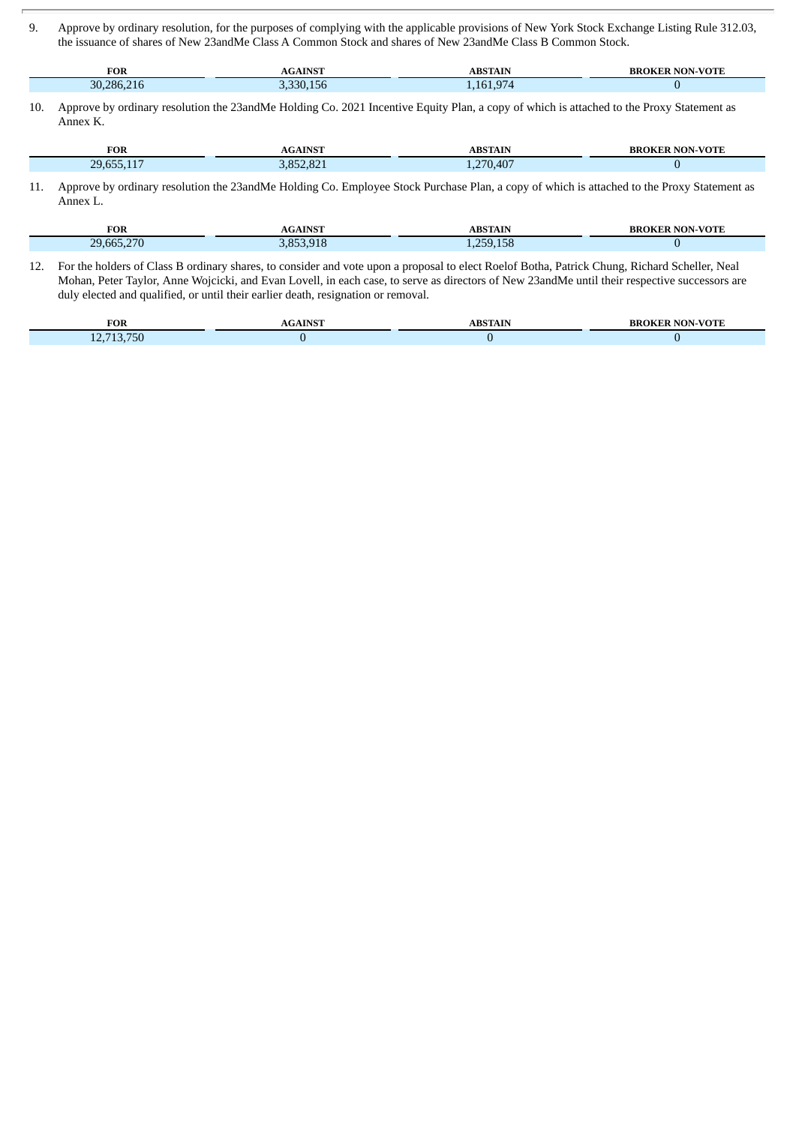9. Approve by ordinary resolution, for the purposes of complying with the applicable provisions of New York Stock Exchange Listing Rule 312.03, the issuance of shares of New 23andMe Class A Common Stock and shares of New 23andMe Class B Common Stock.

| <b>FOR</b>              |                          | AIP          | ĸк |
|-------------------------|--------------------------|--------------|----|
| 30.<br>286.<br>--<br>Ίh | $ -$<br>ה כ<br>≺∟<br>.50 | $\sim$<br>16 |    |

10. Approve by ordinary resolution the 23andMe Holding Co. 2021 Incentive Equity Plan, a copy of which is attached to the Proxy Statement as Annex K.

| <b>FOR</b>                             | A IN CT          | <b>ARCTAIN</b> | νoπ |
|----------------------------------------|------------------|----------------|-----|
| 20.65<br><b><i><u>Property</u></i></b> | $\sim$<br>$\sim$ | 270,407        |     |

11. Approve by ordinary resolution the 23andMe Holding Co. Employee Stock Purchase Plan, a copy of which is attached to the Proxy Statement as Annex L.

| <b>FOR</b> | <b>AGAINST</b> | ABSTAIN                    | <b>NON-VOTE</b><br><b>BROKER</b> |
|------------|----------------|----------------------------|----------------------------------|
| 29.665.270 | <b>853 018</b> | 4E<br>259<br>9.158<br>$ -$ |                                  |

12. For the holders of Class B ordinary shares, to consider and vote upon a proposal to elect Roelof Botha, Patrick Chung, Richard Scheller, Neal Mohan, Peter Taylor, Anne Wojcicki, and Evan Lovell, in each case, to serve as directors of New 23andMe until their respective successors are duly elected and qualified, or until their earlier death, resignation or removal.

| <b>FOR</b>                           | $.41$ NS <sup>T</sup><br>AG | <b>ABSTAIN</b> | -VOTI<br>'NN<br>ΨК<br>ĸк<br>,, |
|--------------------------------------|-----------------------------|----------------|--------------------------------|
| 40.749.750<br>טכ<br>.<br>$-1$<br>- - |                             |                |                                |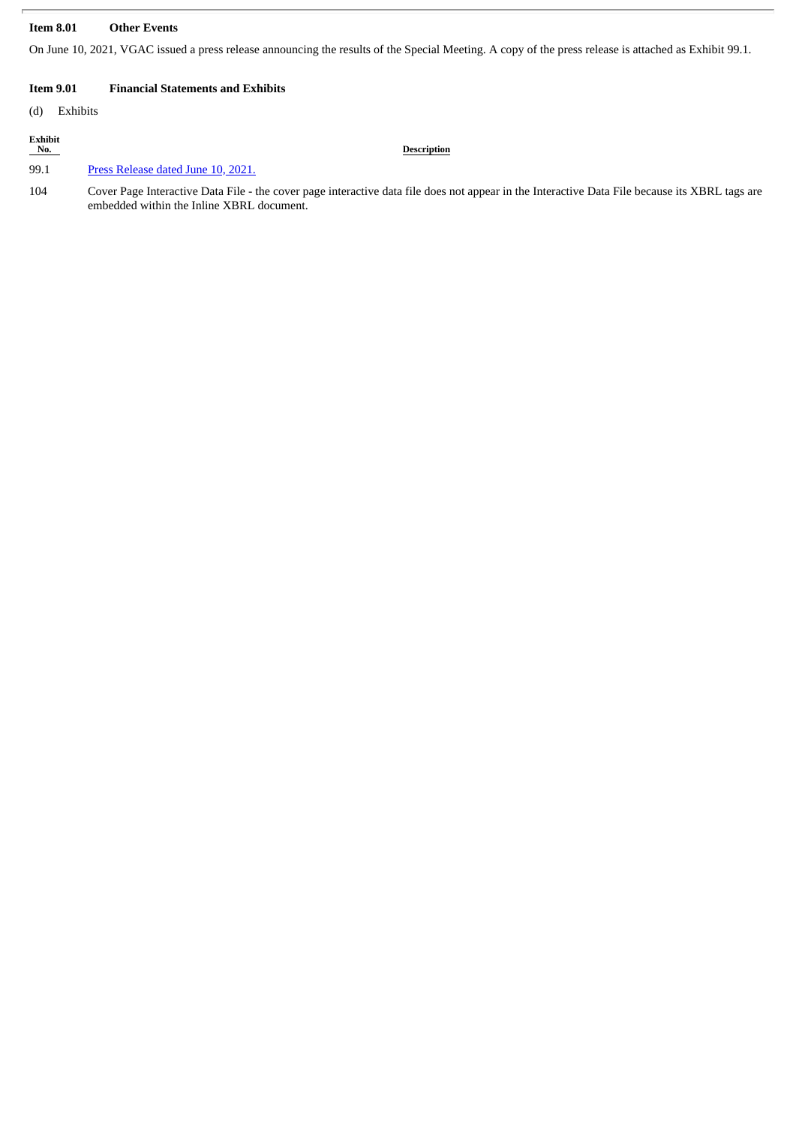### **Item 8.01 Other Events**

On June 10, 2021, VGAC issued a press release announcing the results of the Special Meeting. A copy of the press release is attached as Exhibit 99.1.

### **Item 9.01 Financial Statements and Exhibits**

(d) Exhibits

| Exhibit<br>No. | <b>Description</b>                                                                                                                                                                          |
|----------------|---------------------------------------------------------------------------------------------------------------------------------------------------------------------------------------------|
| 99.1           | Press Release dated June 10, 2021.                                                                                                                                                          |
| 104            | Cover Page Interactive Data File - the cover page interactive data file does not appear in the Interactive Data File because its XBRL tags are<br>embedded within the Inline XBRL document. |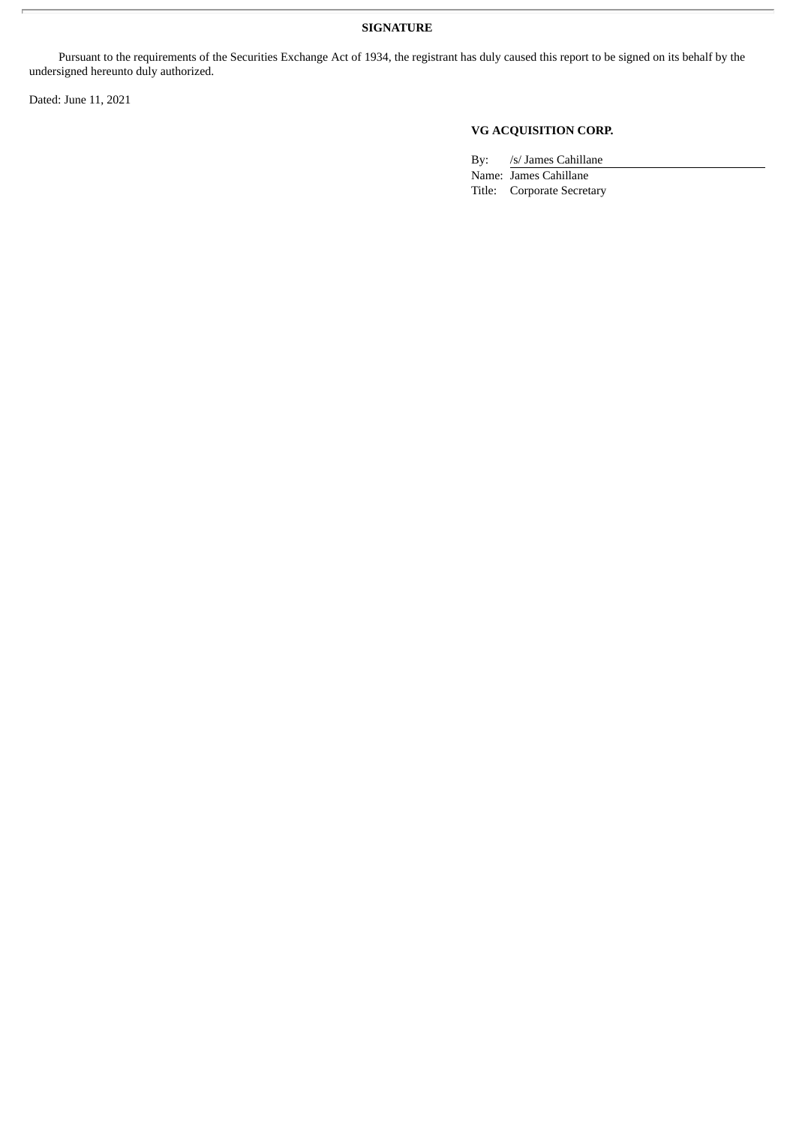### **SIGNATURE**

Pursuant to the requirements of the Securities Exchange Act of 1934, the registrant has duly caused this report to be signed on its behalf by the undersigned hereunto duly authorized.

Dated: June 11, 2021

### **VG ACQUISITION CORP.**

By: /s/ James Cahillane Name: James Cahillane Title: Corporate Secretary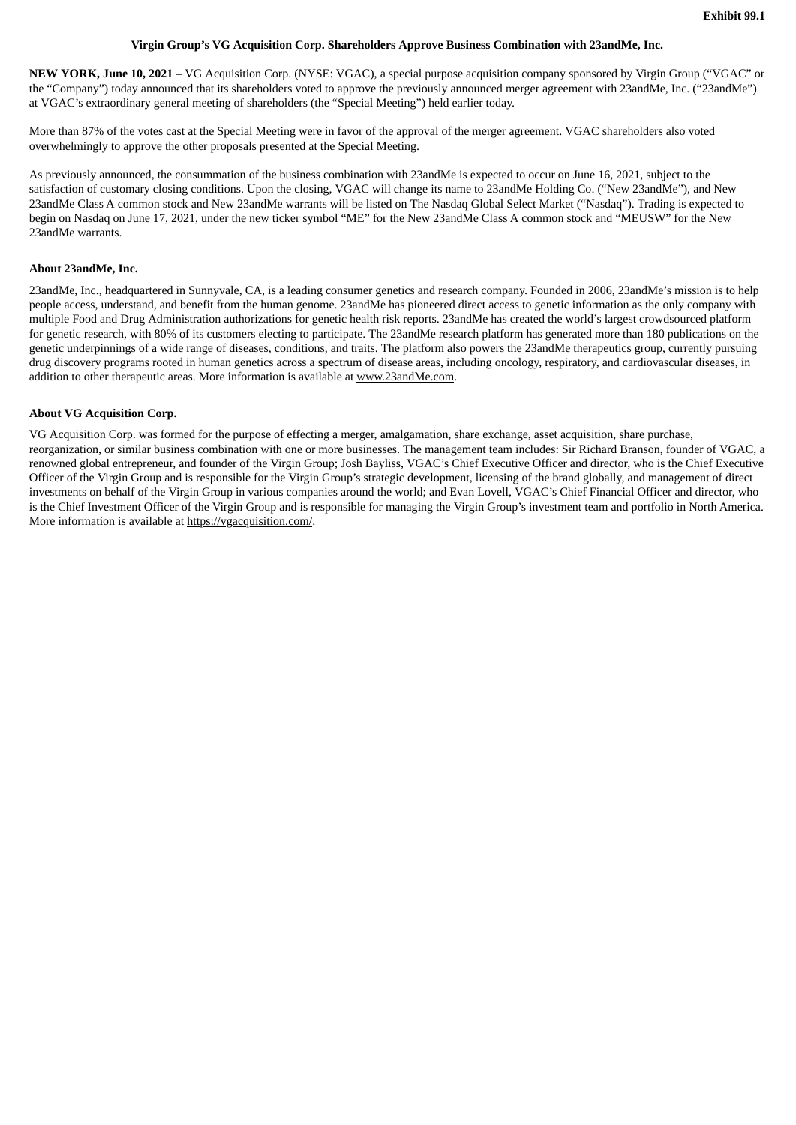### **Virgin Group's VG Acquisition Corp. Shareholders Approve Business Combination with 23andMe, Inc.**

<span id="page-6-0"></span>**NEW YORK, June 10, 2021** – VG Acquisition Corp. (NYSE: VGAC), a special purpose acquisition company sponsored by Virgin Group ("VGAC" or the "Company") today announced that its shareholders voted to approve the previously announced merger agreement with 23andMe, Inc. ("23andMe") at VGAC's extraordinary general meeting of shareholders (the "Special Meeting") held earlier today.

More than 87% of the votes cast at the Special Meeting were in favor of the approval of the merger agreement. VGAC shareholders also voted overwhelmingly to approve the other proposals presented at the Special Meeting.

As previously announced, the consummation of the business combination with 23andMe is expected to occur on June 16, 2021, subject to the satisfaction of customary closing conditions. Upon the closing, VGAC will change its name to 23andMe Holding Co. ("New 23andMe"), and New 23andMe Class A common stock and New 23andMe warrants will be listed on The Nasdaq Global Select Market ("Nasdaq"). Trading is expected to begin on Nasdaq on June 17, 2021, under the new ticker symbol "ME" for the New 23andMe Class A common stock and "MEUSW" for the New 23andMe warrants.

### **About 23andMe, Inc.**

23andMe, Inc., headquartered in Sunnyvale, CA, is a leading consumer genetics and research company. Founded in 2006, 23andMe's mission is to help people access, understand, and benefit from the human genome. 23andMe has pioneered direct access to genetic information as the only company with multiple Food and Drug Administration authorizations for genetic health risk reports. 23andMe has created the world's largest crowdsourced platform for genetic research, with 80% of its customers electing to participate. The 23andMe research platform has generated more than 180 publications on the genetic underpinnings of a wide range of diseases, conditions, and traits. The platform also powers the 23andMe therapeutics group, currently pursuing drug discovery programs rooted in human genetics across a spectrum of disease areas, including oncology, respiratory, and cardiovascular diseases, in addition to other therapeutic areas. More information is available at www.23andMe.com.

### **About VG Acquisition Corp.**

VG Acquisition Corp. was formed for the purpose of effecting a merger, amalgamation, share exchange, asset acquisition, share purchase, reorganization, or similar business combination with one or more businesses. The management team includes: Sir Richard Branson, founder of VGAC, a renowned global entrepreneur, and founder of the Virgin Group; Josh Bayliss, VGAC's Chief Executive Officer and director, who is the Chief Executive Officer of the Virgin Group and is responsible for the Virgin Group's strategic development, licensing of the brand globally, and management of direct investments on behalf of the Virgin Group in various companies around the world; and Evan Lovell, VGAC's Chief Financial Officer and director, who is the Chief Investment Officer of the Virgin Group and is responsible for managing the Virgin Group's investment team and portfolio in North America. More information is available at https://vgacquisition.com/.